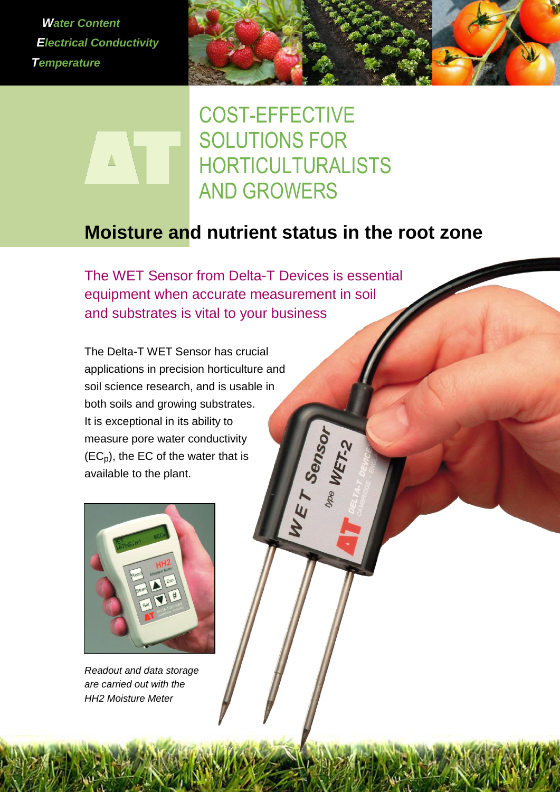*Water Content Electrical Conductivity Temperature*

 $\blacktriangle$ 



COST-EFFECTIVE SOLUTIONS FOR HORTICULTURALISTS AND GROWERS

# **Moisture and nutrient status in the root zone**

WET Sensor

The WET Sensor from Delta-T Devices is essential equipment when accurate measurement in soil and substrates is vital to your business

The Delta-T WET Sensor has crucial applications in precision horticulture and soil science research, and is usable in both soils and growing substrates. It is exceptional in its ability to measure pore water conductivity  $(EC<sub>p</sub>)$ , the EC of the water that is available to the plant.



*Readout and data storage are carried out with the HH2 Moisture Meter*